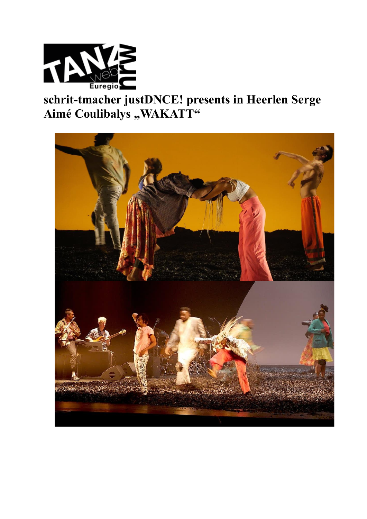

## schrit-tmacher justDNCE! presents in Heerlen Serge Aimé Coulibalys "WAKATT"

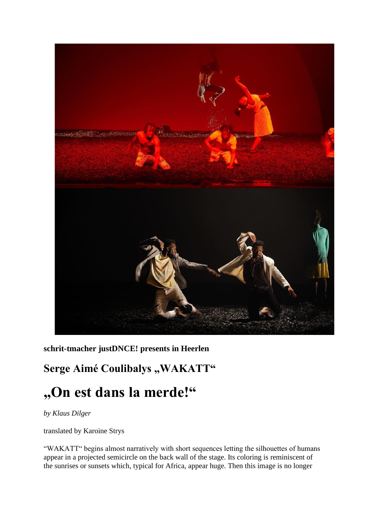

**schrit-tmacher justDNCE! presents in Heerlen**

## Serge Aimé Coulibalys "WAKATT"

## **"On est dans la merde!"**

*by Klaus Dilger*

translated by Karoine Strys

"WAKATT" begins almost narratively with short sequences letting the silhouettes of humans appear in a projected semicircle on the back wall of the stage. Its coloring is reminiscent of the sunrises or sunsets which, typical for Africa, appear huge. Then this image is no longer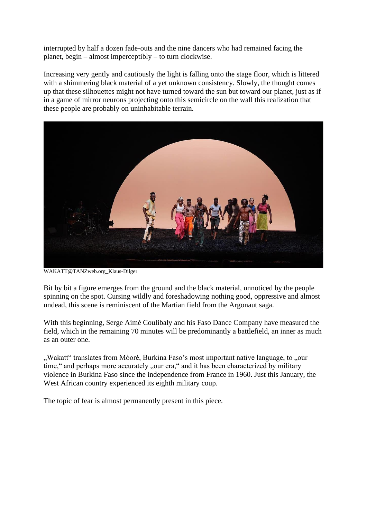interrupted by half a dozen fade-outs and the nine dancers who had remained facing the planet, begin – almost imperceptibly – to turn clockwise.

Increasing very gently and cautiously the light is falling onto the stage floor, which is littered with a shimmering black material of a yet unknown consistency. Slowly, the thought comes up that these silhouettes might not have turned toward the sun but toward our planet, just as if in a game of mirror neurons projecting onto this semicircle on the wall this realization that these people are probably on uninhabitable terrain.



WAKATT@TANZweb.org\_Klaus-Dilger

Bit by bit a figure emerges from the ground and the black material, unnoticed by the people spinning on the spot. Cursing wildly and foreshadowing nothing good, oppressive and almost undead, this scene is reminiscent of the Martian field from the Argonaut saga.

With this beginning, Serge Aimé Coulibaly and his Faso Dance Company have measured the field, which in the remaining 70 minutes will be predominantly a battlefield, an inner as much as an outer one.

", Wakatt" translates from Mòoré, Burkina Faso's most important native language, to "our time," and perhaps more accurately ", our era," and it has been characterized by military violence in Burkina Faso since the independence from France in 1960. Just this January, the West African country experienced its eighth military coup.

The topic of fear is almost permanently present in this piece.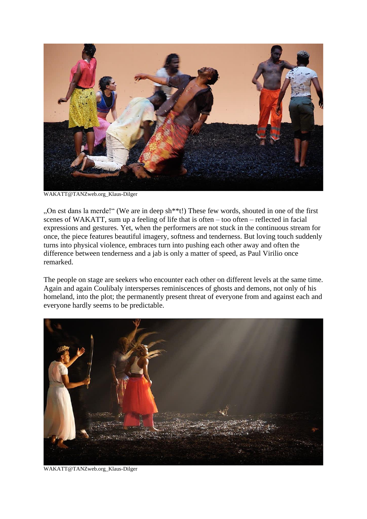

WAKATT@TANZweb.org\_Klaus-Dilger

"On est dans la merde!" (We are in deep sh\*\*t!) These few words, shouted in one of the first scenes of WAKATT, sum up a feeling of life that is often – too often – reflected in facial expressions and gestures. Yet, when the performers are not stuck in the continuous stream for once, the piece features beautiful imagery, softness and tenderness. But loving touch suddenly turns into physical violence, embraces turn into pushing each other away and often the difference between tenderness and a jab is only a matter of speed, as Paul Virilio once remarked.

The people on stage are seekers who encounter each other on different levels at the same time. Again and again Coulibaly intersperses reminiscences of ghosts and demons, not only of his homeland, into the plot; the permanently present threat of everyone from and against each and everyone hardly seems to be predictable.



WAKATT@TANZweb.org\_Klaus-Dilger